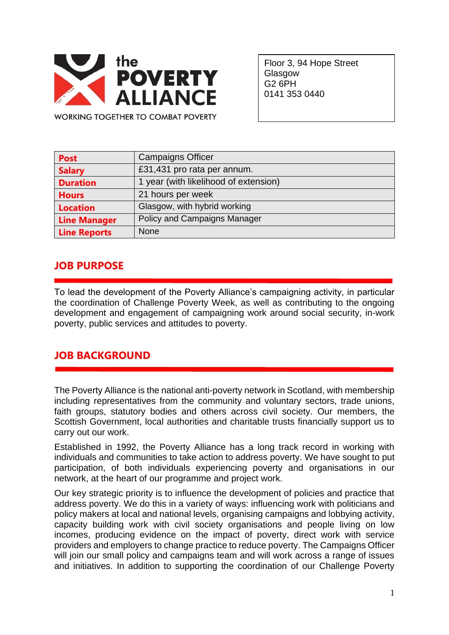

Floor 3, 94 Hope Street **Glasgow** G2 6PH 0141 353 0440

**WORKING TOGETHER TO COMBAT POVERTY** 

| <b>Post</b>         | <b>Campaigns Officer</b>              |
|---------------------|---------------------------------------|
| <b>Salary</b>       | £31,431 pro rata per annum.           |
| <b>Duration</b>     | 1 year (with likelihood of extension) |
| <b>Hours</b>        | 21 hours per week                     |
| <b>Location</b>     | Glasgow, with hybrid working          |
| <b>Line Manager</b> | Policy and Campaigns Manager          |
| <b>Line Reports</b> | <b>None</b>                           |

## **JOB PURPOSE**

To lead the development of the Poverty Alliance's campaigning activity, in particular the coordination of Challenge Poverty Week, as well as contributing to the ongoing development and engagement of campaigning work around social security, in-work poverty, public services and attitudes to poverty.

## **JOB BACKGROUND**

The Poverty Alliance is the national anti-poverty network in Scotland, with membership including representatives from the community and voluntary sectors, trade unions, faith groups, statutory bodies and others across civil society. Our members, the Scottish Government, local authorities and charitable trusts financially support us to carry out our work.

Established in 1992, the Poverty Alliance has a long track record in working with individuals and communities to take action to address poverty. We have sought to put participation, of both individuals experiencing poverty and organisations in our network, at the heart of our programme and project work.

Our key strategic priority is to influence the development of policies and practice that address poverty. We do this in a variety of ways: influencing work with politicians and policy makers at local and national levels, organising campaigns and lobbying activity, capacity building work with civil society organisations and people living on low incomes, producing evidence on the impact of poverty, direct work with service providers and employers to change practice to reduce poverty. The Campaigns Officer will join our small policy and campaigns team and will work across a range of issues and initiatives. In addition to supporting the coordination of our Challenge Poverty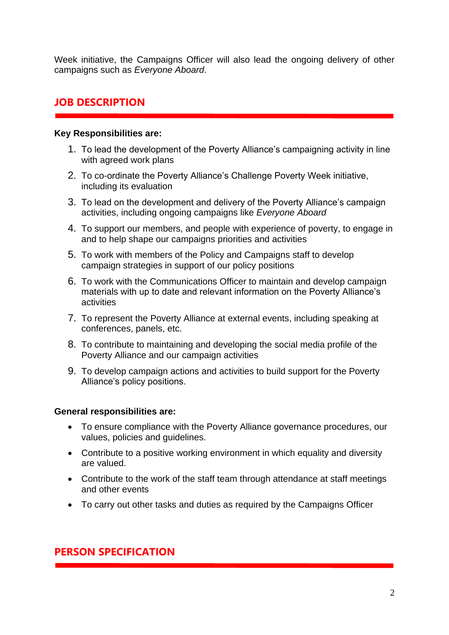Week initiative, the Campaigns Officer will also lead the ongoing delivery of other campaigns such as *Everyone Aboard*.

# **JOB DESCRIPTION**

#### **Key Responsibilities are:**

- 1. To lead the development of the Poverty Alliance's campaigning activity in line with agreed work plans
- 2. To co-ordinate the Poverty Alliance's Challenge Poverty Week initiative, including its evaluation
- 3. To lead on the development and delivery of the Poverty Alliance's campaign activities, including ongoing campaigns like *Everyone Aboard*
- 4. To support our members, and people with experience of poverty, to engage in and to help shape our campaigns priorities and activities
- 5. To work with members of the Policy and Campaigns staff to develop campaign strategies in support of our policy positions
- 6. To work with the Communications Officer to maintain and develop campaign materials with up to date and relevant information on the Poverty Alliance's activities
- 7. To represent the Poverty Alliance at external events, including speaking at conferences, panels, etc.
- 8. To contribute to maintaining and developing the social media profile of the Poverty Alliance and our campaign activities
- 9. To develop campaign actions and activities to build support for the Poverty Alliance's policy positions.

#### **General responsibilities are:**

- To ensure compliance with the Poverty Alliance governance procedures, our values, policies and guidelines.
- Contribute to a positive working environment in which equality and diversity are valued.
- Contribute to the work of the staff team through attendance at staff meetings and other events
- To carry out other tasks and duties as required by the Campaigns Officer

## **PERSON SPECIFICATION**